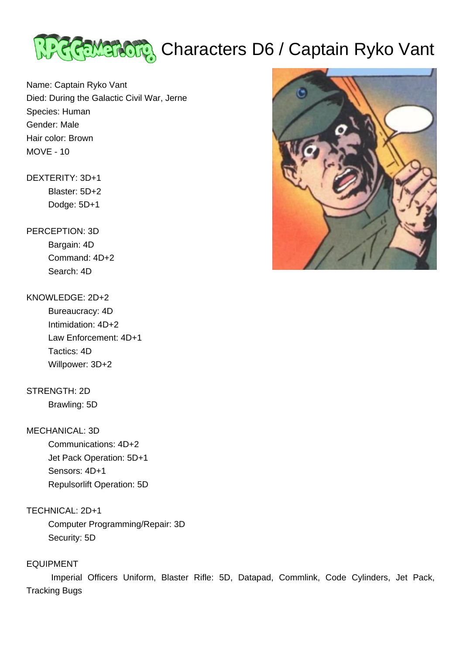

# <u> अन्दिल बादीलानु</u> Characters D6 / Captain Ryko Vant

Name: Captain Ryko Vant Died: During the Galactic Civil War, Jerne Species: Human Gender: Male Hair color: Brown MOVE - 10

# DEXTERITY: 3D+1

 Blaster: 5D+2 Dodge: 5D+1

## PERCEPTION: 3D

 Bargain: 4D Command: 4D+2 Search: 4D

### KNOWLEDGE: 2D+2

 Bureaucracy: 4D Intimidation: 4D+2 Law Enforcement: 4D+1 Tactics: 4D Willpower: 3D+2

# STRENGTH: 2D

Brawling: 5D

### MECHANICAL: 3D

 Communications: 4D+2 Jet Pack Operation: 5D+1 Sensors: 4D+1 Repulsorlift Operation: 5D

# TECHNICAL: 2D+1

 Computer Programming/Repair: 3D Security: 5D

### EQUIPMENT

 Imperial Officers Uniform, Blaster Rifle: 5D, Datapad, Commlink, Code Cylinders, Jet Pack, Tracking Bugs